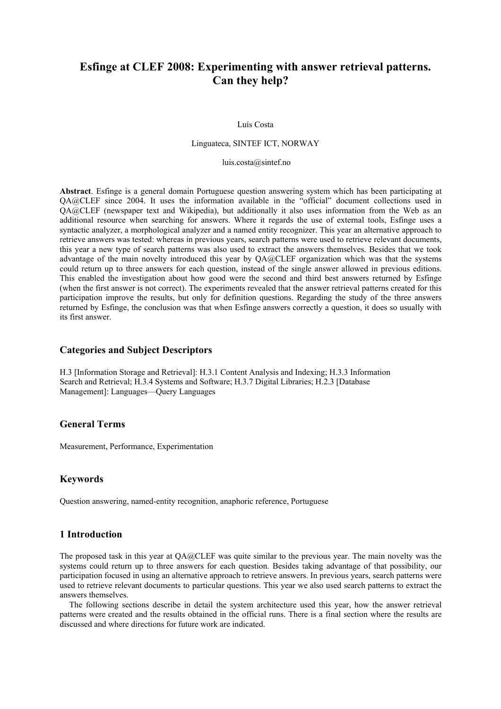# **Esfinge at CLEF 2008: Experimenting with answer retrieval patterns. Can they help?**

#### Luís Costa

#### Linguateca, SINTEF ICT, NORWAY

#### luis.cost[a@sintef.no](mailto:diana.santos}@sintef.no)

**Abstract**. Esfinge is a general domain Portuguese question answering system which has been participating at QA@CLEF since 2004. It uses the information available in the "official" document collections used in QA@CLEF (newspaper text and Wikipedia), but additionally it also uses information from the Web as an additional resource when searching for answers. Where it regards the use of external tools, Esfinge uses a syntactic analyzer, a morphological analyzer and a named entity recognizer. This year an alternative approach to retrieve answers was tested: whereas in previous years, search patterns were used to retrieve relevant documents, this year a new type of search patterns was also used to extract the answers themselves. Besides that we took advantage of the main novelty introduced this year by QA@CLEF organization which was that the systems could return up to three answers for each question, instead of the single answer allowed in previous editions. This enabled the investigation about how good were the second and third best answers returned by Esfinge (when the first answer is not correct). The experiments revealed that the answer retrieval patterns created for this participation improve the results, but only for definition questions. Regarding the study of the three answers returned by Esfinge, the conclusion was that when Esfinge answers correctly a question, it does so usually with its first answer.

## **Categories and Subject Descriptors**

H.3 [Information Storage and Retrieval]: H.3.1 Content Analysis and Indexing; H.3.3 Information Search and Retrieval; H.3.4 Systems and Software; H.3.7 Digital Libraries; H.2.3 [Database Management]: Languages—Query Languages

### **General Terms**

Measurement, Performance, Experimentation

## **Keywords**

Question answering, named-entity recognition, anaphoric reference, Portuguese

# **1 Introduction**

The proposed task in this year at QA@CLEF was quite similar to the previous year. The main novelty was the systems could return up to three answers for each question. Besides taking advantage of that possibility, our participation focused in using an alternative approach to retrieve answers. In previous years, search patterns were used to retrieve relevant documents to particular questions. This year we also used search patterns to extract the answers themselves.

The following sections describe in detail the system architecture used this year, how the answer retrieval patterns were created and the results obtained in the official runs. There is a final section where the results are discussed and where directions for future work are indicated.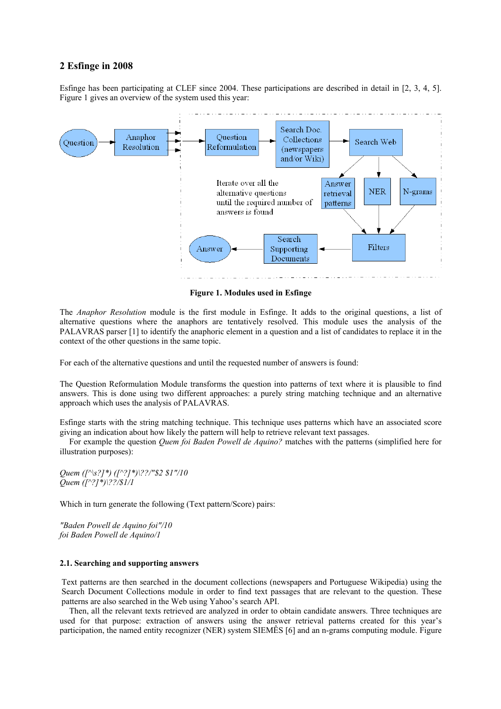## **2 Esfinge in 2008**

Esfinge has been participating at CLEF since 2004. These participations are described in detail in [2, 3, 4, 5]. Figure 1 gives an overview of the system used this year:



**Figure 1. Modules used in Esfinge** 

The *Anaphor Resolution* module is the first module in Esfinge. It adds to the original questions, a list of alternative questions where the anaphors are tentatively resolved. This module uses the analysis of the PALAVRAS parser [1] to identify the anaphoric element in a question and a list of candidates to replace it in the context of the other questions in the same topic.

For each of the alternative questions and until the requested number of answers is found:

The Question Reformulation Module transforms the question into patterns of text where it is plausible to find answers. This is done using two different approaches: a purely string matching technique and an alternative approach which uses the analysis of PALAVRAS.

Esfinge starts with the string matching technique. This technique uses patterns which have an associated score giving an indication about how likely the pattern will help to retrieve relevant text passages.

For example the question *Quem foi Baden Powell de Aquino?* matches with the patterns (simplified here for illustration purposes):

*Quem ([^\s?]\*) ([^?]\*)\??/"\$2 \$1"/10 Quem ([^?]\*)\??/\$1/1* 

Which in turn generate the following (Text pattern/Score) pairs:

*"Baden Powell de Aquino foi"/10 foi Baden Powell de Aquino/1*

#### **2.1. Searching and supporting answers**

Text patterns are then searched in the document collections (newspapers and Portuguese Wikipedia) using the Search Document Collections module in order to find text passages that are relevant to the question. These patterns are also searched in the Web using Yahoo's search API.

Then, all the relevant texts retrieved are analyzed in order to obtain candidate answers. Three techniques are used for that purpose: extraction of answers using the answer retrieval patterns created for this year's participation, the named entity recognizer (NER) system SIEMÊS [6] and an n-grams computing module. Figure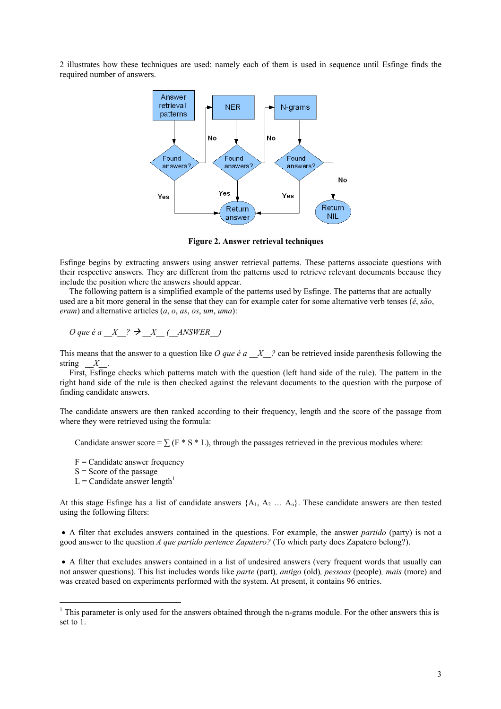2 illustrates how these techniques are used: namely each of them is used in sequence until Esfinge finds the required number of answers.



 **Figure 2. Answer retrieval techniques** 

Esfinge begins by extracting answers using answer retrieval patterns. These patterns associate questions with their respective answers. They are different from the patterns used to retrieve relevant documents because they include the position where the answers should appear.

The following pattern is a simplified example of the patterns used by Esfinge. The patterns that are actually used are a bit more general in the sense that they can for example cater for some alternative verb tenses (*é*, *são*, *eram*) and alternative articles (*a*, *o*, *as*, *os*, *um*, *uma*):

 $O$  que é a  $X$  ?  $\rightarrow$   $X$  ( $ANSWER$ )

This means that the answer to a question like *O que*  $\acute{e}a \times \acute{X}$  ? can be retrieved inside parenthesis following the string  $X$ .

First, Esfinge checks which patterns match with the question (left hand side of the rule). The pattern in the right hand side of the rule is then checked against the relevant documents to the question with the purpose of finding candidate answers.

The candidate answers are then ranked according to their frequency, length and the score of the passage from where they were retrieved using the formula:

Candidate answer score =  $\sum$  (F \* S \* L), through the passages retrieved in the previous modules where:

 $F =$ Candidate answer frequency

 $S =$ Score of the passage

 $\overline{a}$ 

 $L =$ Candidate answer length<sup>[1](#page-2-0)</sup>

At this stage Esfinge has a list of candidate answers  $\{A_1, A_2, \ldots, A_n\}$ . These candidate answers are then tested using the following filters:

• A filter that excludes answers contained in the questions. For example, the answer *partido* (party) is not a good answer to the question *A que partido pertence Zapatero?* (To which party does Zapatero belong?).

• A filter that excludes answers contained in a list of undesired answers (very frequent words that usually can not answer questions). This list includes words like *parte* (part)*, antigo* (old)*, pessoas* (people)*, mais* (more) and was created based on experiments performed with the system. At present, it contains 96 entries.

<span id="page-2-0"></span> $<sup>1</sup>$  This parameter is only used for the answers obtained through the n-grams module. For the other answers this is</sup> set to 1.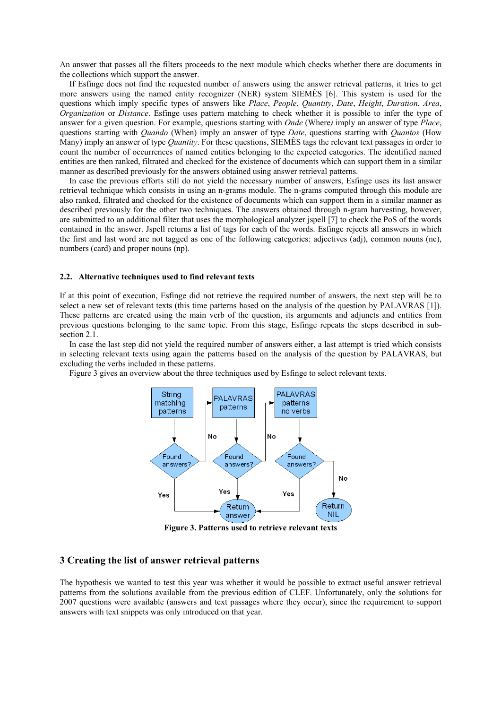An answer that passes all the filters proceeds to the next module which checks whether there are documents in the collections which support the answer.

If Esfinge does not find the requested number of answers using the answer retrieval patterns, it tries to get more answers using the named entity recognizer (NER) system SIEMÊS [6]. This system is used for the questions which imply specific types of answers like *Place*, *People*, *Quantity*, *Date*, *Height*, *Duration*, *Area*, *Organization* or *Distance*. Esfinge uses pattern matching to check whether it is possible to infer the type of answer for a given question. For example, questions starting with *Onde* (Where*)* imply an answer of type *Place*, questions starting with *Quando* (When) imply an answer of type *Date*, questions starting with *Quantos* (How Many) imply an answer of type *Quantity*. For these questions, SIEMÊS tags the relevant text passages in order to count the number of occurrences of named entities belonging to the expected categories. The identified named entities are then ranked, filtrated and checked for the existence of documents which can support them in a similar manner as described previously for the answers obtained using answer retrieval patterns.

In case the previous efforts still do not yield the necessary number of answers, Esfinge uses its last answer retrieval technique which consists in using an n-grams module. The n-grams computed through this module are also ranked, filtrated and checked for the existence of documents which can support them in a similar manner as described previously for the other two techniques. The answers obtained through n-gram harvesting, however, are submitted to an additional filter that uses the morphological analyzer jspell [7] to check the PoS of the words contained in the answer. Jspell returns a list of tags for each of the words. Esfinge rejects all answers in which the first and last word are not tagged as one of the following categories: adjectives (adj), common nouns (nc), numbers (card) and proper nouns (np).

#### **2.2. Alternative techniques used to find relevant texts**

If at this point of execution, Esfinge did not retrieve the required number of answers, the next step will be to select a new set of relevant texts (this time patterns based on the analysis of the question by PALAVRAS [1]). These patterns are created using the main verb of the question, its arguments and adjuncts and entities from previous questions belonging to the same topic. From this stage, Esfinge repeats the steps described in subsection 2.1.

In case the last step did not yield the required number of answers either, a last attempt is tried which consists in selecting relevant texts using again the patterns based on the analysis of the question by PALAVRAS, but excluding the verbs included in these patterns.

Figure 3 gives an overview about the three techniques used by Esfinge to select relevant texts.



**Figure 3. Patterns used to retrieve relevant texts** 

## **3 Creating the list of answer retrieval patterns**

The hypothesis we wanted to test this year was whether it would be possible to extract useful answer retrieval patterns from the solutions available from the previous edition of CLEF. Unfortunately, only the solutions for 2007 questions were available (answers and text passages where they occur), since the requirement to support answers with text snippets was only introduced on that year.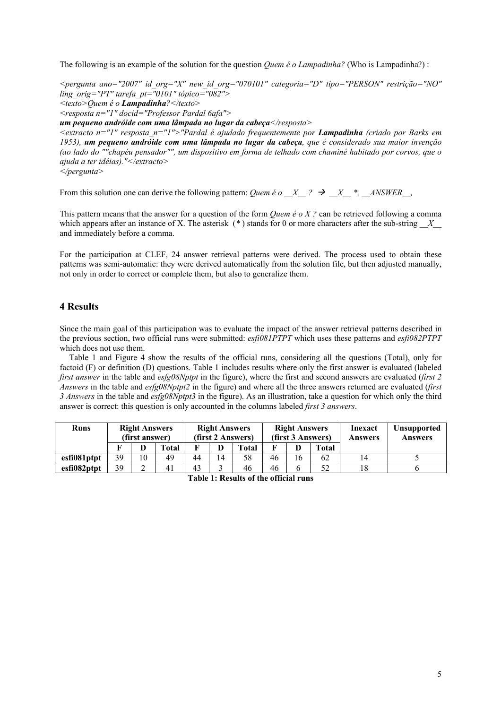The following is an example of the solution for the question *Quem é o Lampadinha?* (Who is Lampadinha?) :

*<pergunta ano="2007" id\_org="X" new\_id\_org="070101" categoria="D" tipo="PERSON" restrição="NO" ling\_orig="PT" tarefa\_pt="0101" tópico="082"> <texto>Quem é o Lampadinha?</texto> <resposta n="1" docid="Professor Pardal 6afa">* 

*um pequeno andróide com uma lâmpada no lugar da cabeça</resposta>* 

*<extracto n="1" resposta\_n="1">"Pardal é ajudado frequentemente por Lampadinha (criado por Barks em 1953), um pequeno andróide com uma lâmpada no lugar da cabeça, que é considerado sua maior invenção (ao lado do ""chapéu pensador"", um dispositivo em forma de telhado com chaminé habitado por corvos, que o ajuda a ter idéias)."</extracto>* 

*</pergunta>* 

From this solution one can derive the following pattern: *Quem é o*  $X$  ?  $\rightarrow X$   $*$ , *ANSWER*,

This pattern means that the answer for a question of the form *Quem é o X ?* can be retrieved following a comma which appears after an instance of X. The asterisk (\*) stands for 0 or more characters after the sub-string *X* and immediately before a comma.

For the participation at CLEF, 24 answer retrieval patterns were derived. The process used to obtain these patterns was semi-automatic: they were derived automatically from the solution file, but then adjusted manually, not only in order to correct or complete them, but also to generalize them.

# **4 Results**

Since the main goal of this participation was to evaluate the impact of the answer retrieval patterns described in the previous section, two official runs were submitted: *esfi081PTPT* which uses these patterns and *esfi082PTPT*  which does not use them.

Table 1 and Figure 4 show the results of the official runs, considering all the questions (Total), only for factoid (F) or definition (D) questions. Table 1 includes results where only the first answer is evaluated (labeled *first answer* in the table and *esfg08Nptpt* in the figure), where the first and second answers are evaluated (*first 2 Answers* in the table and *esfg08Nptpt2* in the figure) and where all the three answers returned are evaluated (*first 3 Answers* in the table and *esfg08Nptpt3* in the figure). As an illustration, take a question for which only the third answer is correct: this question is only accounted in the columns labeled *first 3 answers*.

| <b>Runs</b> | <b>Right Answers</b><br>(first answer) |             | <b>Right Answers</b><br>(first 2 Answers) |    |    | <b>Right Answers</b><br>(first 3 Answers) |    |    | Inexact<br>Answers | <b>Unsupported</b><br><b>Answers</b> |  |
|-------------|----------------------------------------|-------------|-------------------------------------------|----|----|-------------------------------------------|----|----|--------------------|--------------------------------------|--|
|             |                                        | D           | Total                                     |    |    | Total                                     | г  | D  | Total              |                                      |  |
| esfi081ptpt | 39                                     | 10          | 49                                        | 44 | 14 | 58                                        | 46 | 16 | 62                 |                                      |  |
| esfi082ptpt | 39                                     | $\sim$<br>∸ | 41                                        | 43 |    | 46                                        | 46 | O  | 52                 |                                      |  |

**Table 1: Results of the official runs**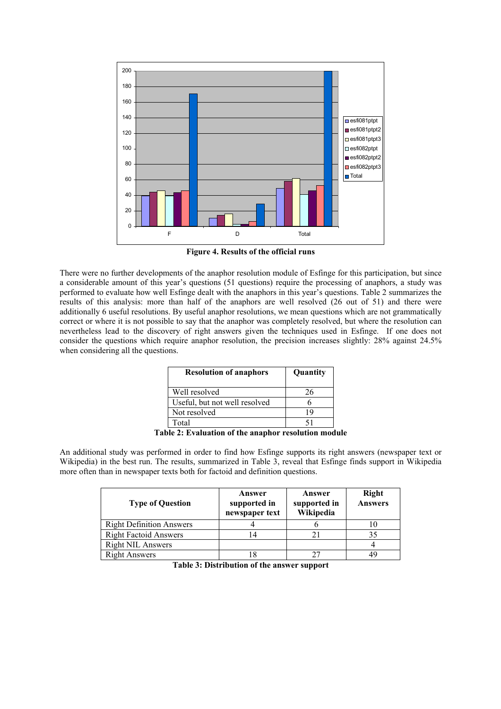

**Figure 4. Results of the official runs** 

There were no further developments of the anaphor resolution module of Esfinge for this participation, but since a considerable amount of this year's questions (51 questions) require the processing of anaphors, a study was performed to evaluate how well Esfinge dealt with the anaphors in this year's questions. Table 2 summarizes the results of this analysis: more than half of the anaphors are well resolved (26 out of 51) and there were additionally 6 useful resolutions. By useful anaphor resolutions, we mean questions which are not grammatically correct or where it is not possible to say that the anaphor was completely resolved, but where the resolution can nevertheless lead to the discovery of right answers given the techniques used in Esfinge. If one does not consider the questions which require anaphor resolution, the precision increases slightly: 28% against 24.5% when considering all the questions.

| <b>Resolution of anaphors</b> | Quantity  |
|-------------------------------|-----------|
| Well resolved                 | 26        |
| Useful, but not well resolved |           |
| Not resolved                  | 19        |
| Total                         | 51        |
| $\mathbf{a}$ .<br>. .         | $\cdot$ . |

**Table 2: Evaluation of the anaphor resolution module** 

An additional study was performed in order to find how Esfinge supports its right answers (newspaper text or Wikipedia) in the best run. The results, summarized in Table 3, reveal that Esfinge finds support in Wikipedia more often than in newspaper texts both for factoid and definition questions.

| <b>Type of Question</b>         | Answer<br>supported in<br>newspaper text | Answer<br>supported in<br>Wikipedia | <b>Right</b><br><b>Answers</b> |
|---------------------------------|------------------------------------------|-------------------------------------|--------------------------------|
| <b>Right Definition Answers</b> |                                          |                                     | 10                             |
| <b>Right Factoid Answers</b>    | $\overline{4}$                           |                                     | 35                             |
| <b>Right NIL Answers</b>        |                                          |                                     |                                |
| <b>Right Answers</b>            |                                          |                                     | 49                             |

**Table 3: Distribution of the answer support**